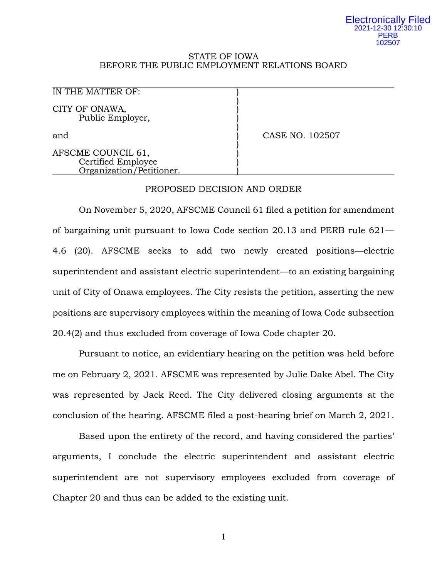#### Electronically Filed 2021-12-30 12:30:10 **PERB** 102507

#### STATE OF IOWA BEFORE THE PUBLIC EMPLOYMENT RELATIONS BOARD

)

)

)

IN THE MATTER OF: CITY OF ONAWA. Public Employer, )

and **and )** CASE NO. 102507

AFSCME COUNCIL 61, Certified Employee ) Organization/Petitioner. )

## PROPOSED DECISION AND ORDER

On November 5, 2020, AFSCME Council 61 filed a petition for amendment of bargaining unit pursuant to Iowa Code section 20.13 and PERB rule 621— 4.6 (20). AFSCME seeks to add two newly created positions—electric superintendent and assistant electric superintendent—to an existing bargaining unit of City of Onawa employees. The City resists the petition, asserting the new positions are supervisory employees within the meaning of Iowa Code subsection 20.4(2) and thus excluded from coverage of Iowa Code chapter 20.

Pursuant to notice, an evidentiary hearing on the petition was held before me on February 2, 2021. AFSCME was represented by Julie Dake Abel. The City was represented by Jack Reed. The City delivered closing arguments at the conclusion of the hearing. AFSCME filed a post-hearing brief on March 2, 2021.

Based upon the entirety of the record, and having considered the parties' arguments, I conclude the electric superintendent and assistant electric superintendent are not supervisory employees excluded from coverage of Chapter 20 and thus can be added to the existing unit.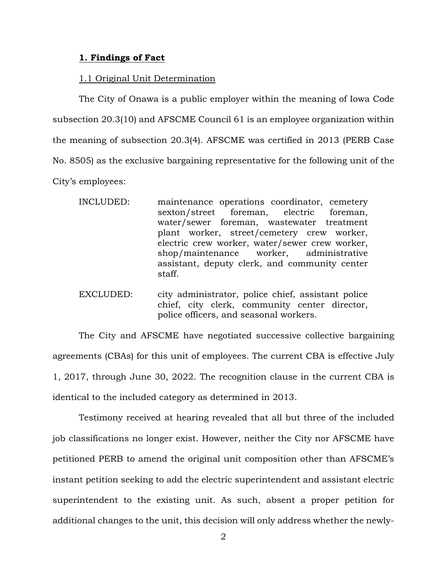## **1. Findings of Fact**

## 1.1 Original Unit Determination

The City of Onawa is a public employer within the meaning of Iowa Code subsection 20.3(10) and AFSCME Council 61 is an employee organization within the meaning of subsection 20.3(4). AFSCME was certified in 2013 (PERB Case No. 8505) as the exclusive bargaining representative for the following unit of the City's employees:

- INCLUDED: maintenance operations coordinator, cemetery sexton/street foreman, electric foreman, water/sewer foreman, wastewater treatment plant worker, street/cemetery crew worker, electric crew worker, water/sewer crew worker, shop/maintenance worker, administrative assistant, deputy clerk, and community center staff.
- EXCLUDED: city administrator, police chief, assistant police chief, city clerk, community center director, police officers, and seasonal workers.

The City and AFSCME have negotiated successive collective bargaining agreements (CBAs) for this unit of employees. The current CBA is effective July 1, 2017, through June 30, 2022. The recognition clause in the current CBA is identical to the included category as determined in 2013.

Testimony received at hearing revealed that all but three of the included job classifications no longer exist. However, neither the City nor AFSCME have petitioned PERB to amend the original unit composition other than AFSCME's instant petition seeking to add the electric superintendent and assistant electric superintendent to the existing unit. As such, absent a proper petition for additional changes to the unit, this decision will only address whether the newly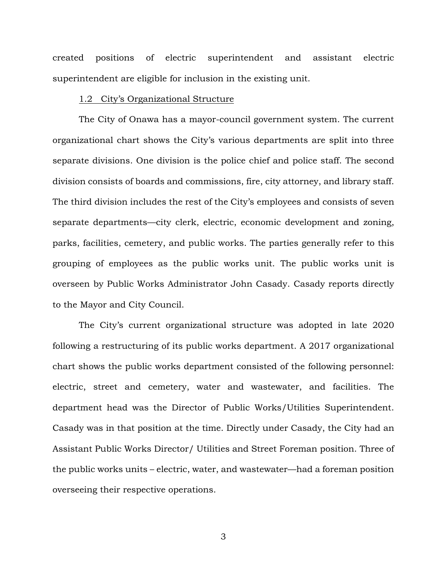created positions of electric superintendent and assistant electric superintendent are eligible for inclusion in the existing unit.

## 1.2 City's Organizational Structure

The City of Onawa has a mayor-council government system. The current organizational chart shows the City's various departments are split into three separate divisions. One division is the police chief and police staff. The second division consists of boards and commissions, fire, city attorney, and library staff. The third division includes the rest of the City's employees and consists of seven separate departments—city clerk, electric, economic development and zoning, parks, facilities, cemetery, and public works. The parties generally refer to this grouping of employees as the public works unit. The public works unit is overseen by Public Works Administrator John Casady. Casady reports directly to the Mayor and City Council.

The City's current organizational structure was adopted in late 2020 following a restructuring of its public works department. A 2017 organizational chart shows the public works department consisted of the following personnel: electric, street and cemetery, water and wastewater, and facilities. The department head was the Director of Public Works/Utilities Superintendent. Casady was in that position at the time. Directly under Casady, the City had an Assistant Public Works Director/ Utilities and Street Foreman position. Three of the public works units – electric, water, and wastewater—had a foreman position overseeing their respective operations.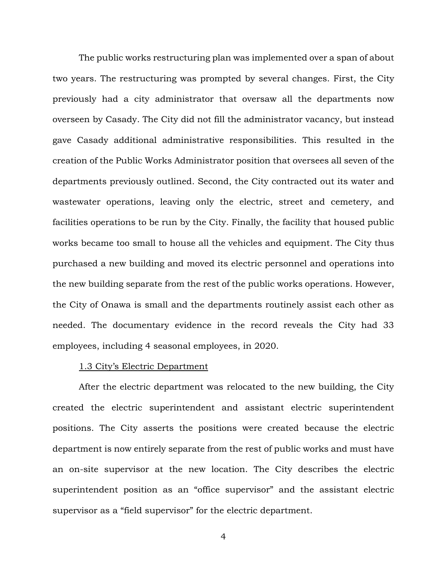The public works restructuring plan was implemented over a span of about two years. The restructuring was prompted by several changes. First, the City previously had a city administrator that oversaw all the departments now overseen by Casady. The City did not fill the administrator vacancy, but instead gave Casady additional administrative responsibilities. This resulted in the creation of the Public Works Administrator position that oversees all seven of the departments previously outlined. Second, the City contracted out its water and wastewater operations, leaving only the electric, street and cemetery, and facilities operations to be run by the City. Finally, the facility that housed public works became too small to house all the vehicles and equipment. The City thus purchased a new building and moved its electric personnel and operations into the new building separate from the rest of the public works operations. However, the City of Onawa is small and the departments routinely assist each other as needed. The documentary evidence in the record reveals the City had 33 employees, including 4 seasonal employees, in 2020.

### 1.3 City's Electric Department

After the electric department was relocated to the new building, the City created the electric superintendent and assistant electric superintendent positions. The City asserts the positions were created because the electric department is now entirely separate from the rest of public works and must have an on-site supervisor at the new location. The City describes the electric superintendent position as an "office supervisor" and the assistant electric supervisor as a "field supervisor" for the electric department.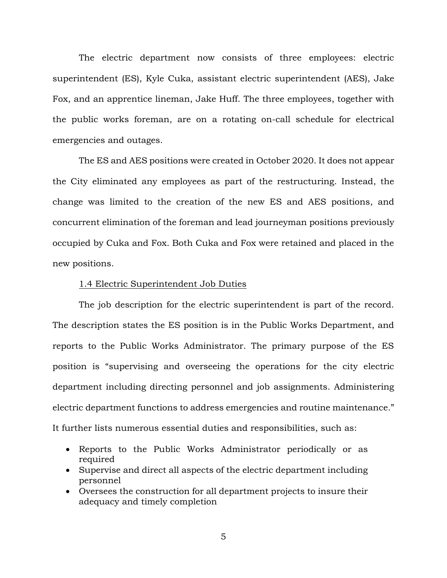The electric department now consists of three employees: electric superintendent (ES), Kyle Cuka, assistant electric superintendent (AES), Jake Fox, and an apprentice lineman, Jake Huff. The three employees, together with the public works foreman, are on a rotating on-call schedule for electrical emergencies and outages.

The ES and AES positions were created in October 2020. It does not appear the City eliminated any employees as part of the restructuring. Instead, the change was limited to the creation of the new ES and AES positions, and concurrent elimination of the foreman and lead journeyman positions previously occupied by Cuka and Fox. Both Cuka and Fox were retained and placed in the new positions.

#### 1.4 Electric Superintendent Job Duties

The job description for the electric superintendent is part of the record. The description states the ES position is in the Public Works Department, and reports to the Public Works Administrator. The primary purpose of the ES position is "supervising and overseeing the operations for the city electric department including directing personnel and job assignments. Administering electric department functions to address emergencies and routine maintenance." It further lists numerous essential duties and responsibilities, such as:

- Reports to the Public Works Administrator periodically or as required
- Supervise and direct all aspects of the electric department including personnel
- Oversees the construction for all department projects to insure their adequacy and timely completion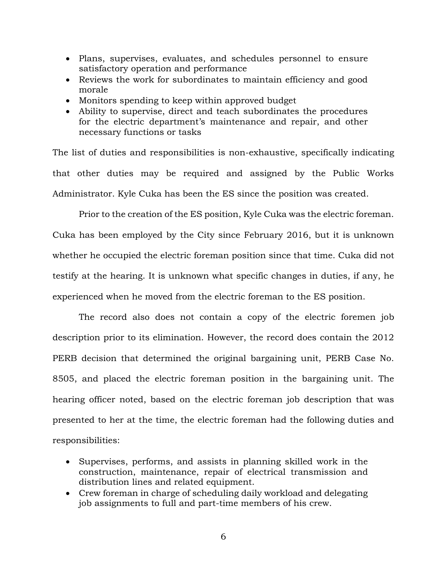- Plans, supervises, evaluates, and schedules personnel to ensure satisfactory operation and performance
- Reviews the work for subordinates to maintain efficiency and good morale
- Monitors spending to keep within approved budget
- Ability to supervise, direct and teach subordinates the procedures for the electric department's maintenance and repair, and other necessary functions or tasks

The list of duties and responsibilities is non-exhaustive, specifically indicating that other duties may be required and assigned by the Public Works Administrator. Kyle Cuka has been the ES since the position was created.

Prior to the creation of the ES position, Kyle Cuka was the electric foreman. Cuka has been employed by the City since February 2016, but it is unknown whether he occupied the electric foreman position since that time. Cuka did not testify at the hearing. It is unknown what specific changes in duties, if any, he experienced when he moved from the electric foreman to the ES position.

The record also does not contain a copy of the electric foremen job description prior to its elimination. However, the record does contain the 2012 PERB decision that determined the original bargaining unit, PERB Case No. 8505, and placed the electric foreman position in the bargaining unit. The hearing officer noted, based on the electric foreman job description that was presented to her at the time, the electric foreman had the following duties and responsibilities:

- Supervises, performs, and assists in planning skilled work in the construction, maintenance, repair of electrical transmission and distribution lines and related equipment.
- Crew foreman in charge of scheduling daily workload and delegating job assignments to full and part-time members of his crew.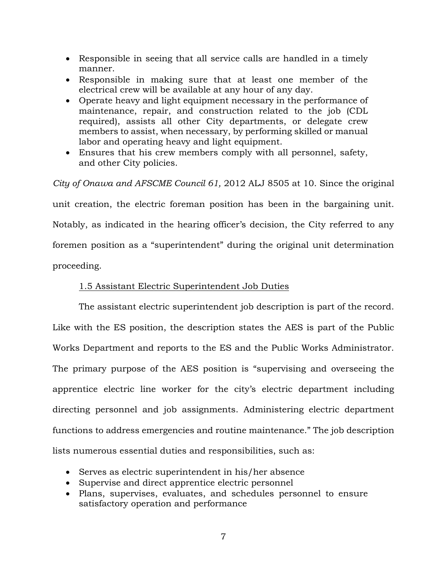- Responsible in seeing that all service calls are handled in a timely manner.
- Responsible in making sure that at least one member of the electrical crew will be available at any hour of any day.
- Operate heavy and light equipment necessary in the performance of maintenance, repair, and construction related to the job (CDL required), assists all other City departments, or delegate crew members to assist, when necessary, by performing skilled or manual labor and operating heavy and light equipment.
- Ensures that his crew members comply with all personnel, safety, and other City policies.

*City of Onawa and AFSCME Council 61,* 2012 ALJ 8505 at 10. Since the original unit creation, the electric foreman position has been in the bargaining unit. Notably, as indicated in the hearing officer's decision, the City referred to any foremen position as a "superintendent" during the original unit determination proceeding.

# 1.5 Assistant Electric Superintendent Job Duties

The assistant electric superintendent job description is part of the record. Like with the ES position, the description states the AES is part of the Public Works Department and reports to the ES and the Public Works Administrator. The primary purpose of the AES position is "supervising and overseeing the apprentice electric line worker for the city's electric department including directing personnel and job assignments. Administering electric department functions to address emergencies and routine maintenance." The job description lists numerous essential duties and responsibilities, such as:

- Serves as electric superintendent in his/her absence
- Supervise and direct apprentice electric personnel
- Plans, supervises, evaluates, and schedules personnel to ensure satisfactory operation and performance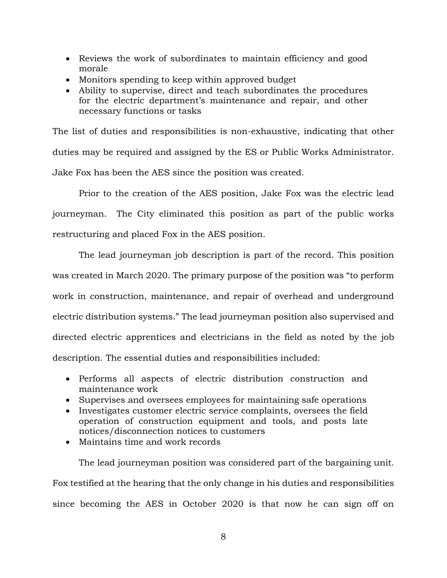- Reviews the work of subordinates to maintain efficiency and good morale
- Monitors spending to keep within approved budget
- Ability to supervise, direct and teach subordinates the procedures for the electric department's maintenance and repair, and other necessary functions or tasks

The list of duties and responsibilities is non-exhaustive, indicating that other duties may be required and assigned by the ES or Public Works Administrator. Jake Fox has been the AES since the position was created.

Prior to the creation of the AES position, Jake Fox was the electric lead journeyman. The City eliminated this position as part of the public works restructuring and placed Fox in the AES position.

The lead journeyman job description is part of the record. This position was created in March 2020. The primary purpose of the position was "to perform work in construction, maintenance, and repair of overhead and underground electric distribution systems." The lead journeyman position also supervised and directed electric apprentices and electricians in the field as noted by the job description. The essential duties and responsibilities included:

- Performs all aspects of electric distribution construction and maintenance work
- Supervises and oversees employees for maintaining safe operations
- Investigates customer electric service complaints, oversees the field operation of construction equipment and tools, and posts late notices/disconnection notices to customers
- Maintains time and work records

The lead journeyman position was considered part of the bargaining unit. Fox testified at the hearing that the only change in his duties and responsibilities since becoming the AES in October 2020 is that now he can sign off on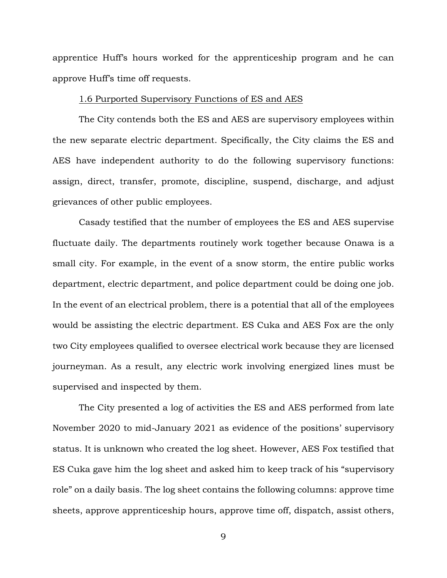apprentice Huff's hours worked for the apprenticeship program and he can approve Huff's time off requests.

#### 1.6 Purported Supervisory Functions of ES and AES

The City contends both the ES and AES are supervisory employees within the new separate electric department. Specifically, the City claims the ES and AES have independent authority to do the following supervisory functions: assign, direct, transfer, promote, discipline, suspend, discharge, and adjust grievances of other public employees.

Casady testified that the number of employees the ES and AES supervise fluctuate daily. The departments routinely work together because Onawa is a small city. For example, in the event of a snow storm, the entire public works department, electric department, and police department could be doing one job. In the event of an electrical problem, there is a potential that all of the employees would be assisting the electric department. ES Cuka and AES Fox are the only two City employees qualified to oversee electrical work because they are licensed journeyman. As a result, any electric work involving energized lines must be supervised and inspected by them.

The City presented a log of activities the ES and AES performed from late November 2020 to mid-January 2021 as evidence of the positions' supervisory status. It is unknown who created the log sheet. However, AES Fox testified that ES Cuka gave him the log sheet and asked him to keep track of his "supervisory role" on a daily basis. The log sheet contains the following columns: approve time sheets, approve apprenticeship hours, approve time off, dispatch, assist others,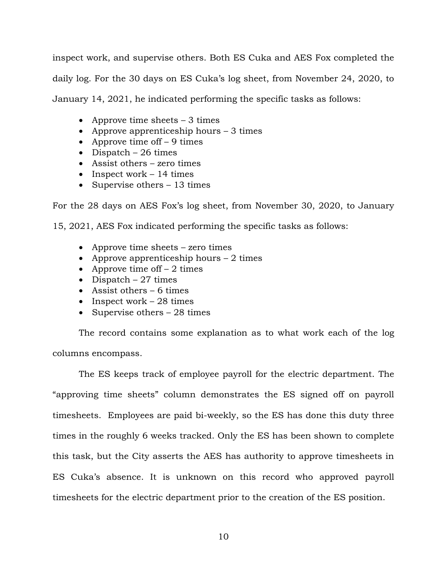inspect work, and supervise others. Both ES Cuka and AES Fox completed the daily log. For the 30 days on ES Cuka's log sheet, from November 24, 2020, to January 14, 2021, he indicated performing the specific tasks as follows:

- Approve time sheets  $-3$  times
- Approve apprenticeship hours 3 times
- Approve time of  $f 9$  times
- Dispatch 26 times
- Assist others zero times
- Inspect work 14 times
- Supervise others 13 times

For the 28 days on AES Fox's log sheet, from November 30, 2020, to January

15, 2021, AES Fox indicated performing the specific tasks as follows:

- Approve time sheets zero times
- Approve apprenticeship hours  $-2$  times
- Approve time of  $f 2$  times
- Dispatch 27 times
- Assist others 6 times
- Inspect work  $-28$  times
- Supervise others 28 times

The record contains some explanation as to what work each of the log columns encompass.

The ES keeps track of employee payroll for the electric department. The "approving time sheets" column demonstrates the ES signed off on payroll timesheets. Employees are paid bi-weekly, so the ES has done this duty three times in the roughly 6 weeks tracked. Only the ES has been shown to complete this task, but the City asserts the AES has authority to approve timesheets in ES Cuka's absence. It is unknown on this record who approved payroll timesheets for the electric department prior to the creation of the ES position.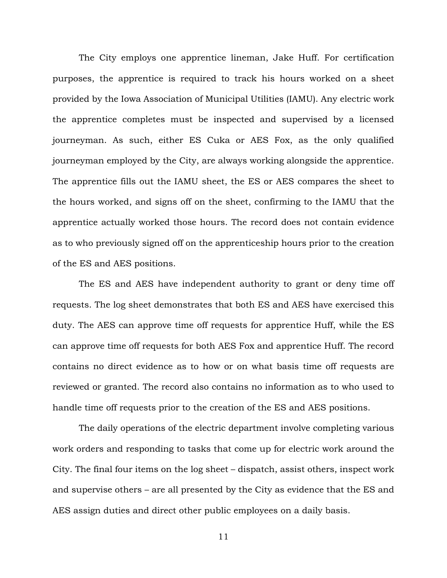The City employs one apprentice lineman, Jake Huff. For certification purposes, the apprentice is required to track his hours worked on a sheet provided by the Iowa Association of Municipal Utilities (IAMU). Any electric work the apprentice completes must be inspected and supervised by a licensed journeyman. As such, either ES Cuka or AES Fox, as the only qualified journeyman employed by the City, are always working alongside the apprentice. The apprentice fills out the IAMU sheet, the ES or AES compares the sheet to the hours worked, and signs off on the sheet, confirming to the IAMU that the apprentice actually worked those hours. The record does not contain evidence as to who previously signed off on the apprenticeship hours prior to the creation of the ES and AES positions.

The ES and AES have independent authority to grant or deny time off requests. The log sheet demonstrates that both ES and AES have exercised this duty. The AES can approve time off requests for apprentice Huff, while the ES can approve time off requests for both AES Fox and apprentice Huff. The record contains no direct evidence as to how or on what basis time off requests are reviewed or granted. The record also contains no information as to who used to handle time off requests prior to the creation of the ES and AES positions.

The daily operations of the electric department involve completing various work orders and responding to tasks that come up for electric work around the City. The final four items on the log sheet – dispatch, assist others, inspect work and supervise others – are all presented by the City as evidence that the ES and AES assign duties and direct other public employees on a daily basis.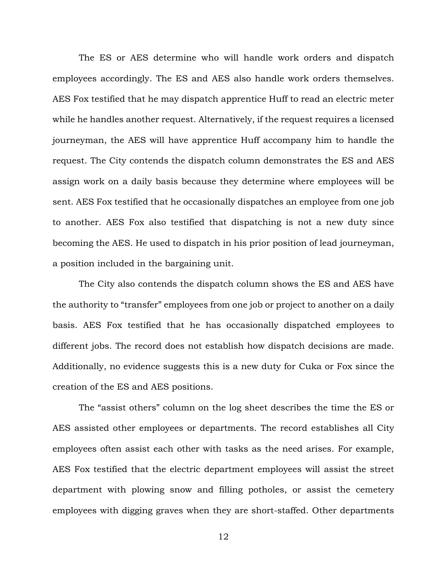The ES or AES determine who will handle work orders and dispatch employees accordingly. The ES and AES also handle work orders themselves. AES Fox testified that he may dispatch apprentice Huff to read an electric meter while he handles another request. Alternatively, if the request requires a licensed journeyman, the AES will have apprentice Huff accompany him to handle the request. The City contends the dispatch column demonstrates the ES and AES assign work on a daily basis because they determine where employees will be sent. AES Fox testified that he occasionally dispatches an employee from one job to another. AES Fox also testified that dispatching is not a new duty since becoming the AES. He used to dispatch in his prior position of lead journeyman, a position included in the bargaining unit.

The City also contends the dispatch column shows the ES and AES have the authority to "transfer" employees from one job or project to another on a daily basis. AES Fox testified that he has occasionally dispatched employees to different jobs. The record does not establish how dispatch decisions are made. Additionally, no evidence suggests this is a new duty for Cuka or Fox since the creation of the ES and AES positions.

The "assist others" column on the log sheet describes the time the ES or AES assisted other employees or departments. The record establishes all City employees often assist each other with tasks as the need arises. For example, AES Fox testified that the electric department employees will assist the street department with plowing snow and filling potholes, or assist the cemetery employees with digging graves when they are short-staffed. Other departments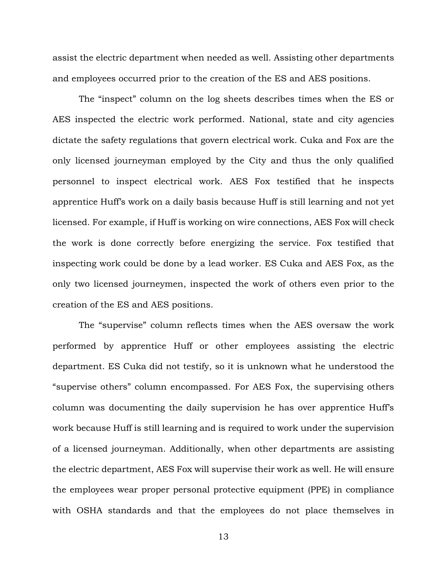assist the electric department when needed as well. Assisting other departments and employees occurred prior to the creation of the ES and AES positions.

The "inspect" column on the log sheets describes times when the ES or AES inspected the electric work performed. National, state and city agencies dictate the safety regulations that govern electrical work. Cuka and Fox are the only licensed journeyman employed by the City and thus the only qualified personnel to inspect electrical work. AES Fox testified that he inspects apprentice Huff's work on a daily basis because Huff is still learning and not yet licensed. For example, if Huff is working on wire connections, AES Fox will check the work is done correctly before energizing the service. Fox testified that inspecting work could be done by a lead worker. ES Cuka and AES Fox, as the only two licensed journeymen, inspected the work of others even prior to the creation of the ES and AES positions.

The "supervise" column reflects times when the AES oversaw the work performed by apprentice Huff or other employees assisting the electric department. ES Cuka did not testify, so it is unknown what he understood the "supervise others" column encompassed. For AES Fox, the supervising others column was documenting the daily supervision he has over apprentice Huff's work because Huff is still learning and is required to work under the supervision of a licensed journeyman. Additionally, when other departments are assisting the electric department, AES Fox will supervise their work as well. He will ensure the employees wear proper personal protective equipment (PPE) in compliance with OSHA standards and that the employees do not place themselves in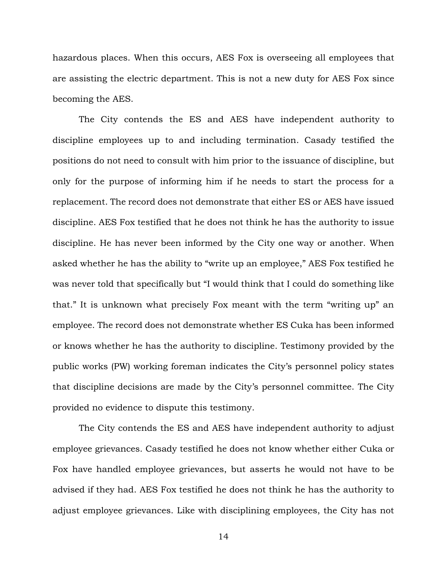hazardous places. When this occurs, AES Fox is overseeing all employees that are assisting the electric department. This is not a new duty for AES Fox since becoming the AES.

The City contends the ES and AES have independent authority to discipline employees up to and including termination. Casady testified the positions do not need to consult with him prior to the issuance of discipline, but only for the purpose of informing him if he needs to start the process for a replacement. The record does not demonstrate that either ES or AES have issued discipline. AES Fox testified that he does not think he has the authority to issue discipline. He has never been informed by the City one way or another. When asked whether he has the ability to "write up an employee," AES Fox testified he was never told that specifically but "I would think that I could do something like that." It is unknown what precisely Fox meant with the term "writing up" an employee. The record does not demonstrate whether ES Cuka has been informed or knows whether he has the authority to discipline. Testimony provided by the public works (PW) working foreman indicates the City's personnel policy states that discipline decisions are made by the City's personnel committee. The City provided no evidence to dispute this testimony.

The City contends the ES and AES have independent authority to adjust employee grievances. Casady testified he does not know whether either Cuka or Fox have handled employee grievances, but asserts he would not have to be advised if they had. AES Fox testified he does not think he has the authority to adjust employee grievances. Like with disciplining employees, the City has not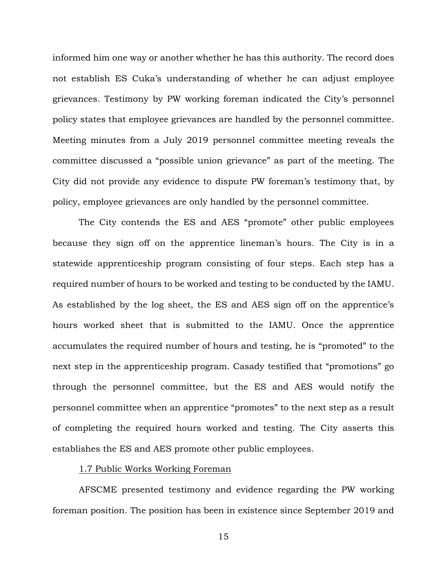informed him one way or another whether he has this authority. The record does not establish ES Cuka's understanding of whether he can adjust employee grievances. Testimony by PW working foreman indicated the City's personnel policy states that employee grievances are handled by the personnel committee. Meeting minutes from a July 2019 personnel committee meeting reveals the committee discussed a "possible union grievance" as part of the meeting. The City did not provide any evidence to dispute PW foreman's testimony that, by policy, employee grievances are only handled by the personnel committee.

The City contends the ES and AES "promote" other public employees because they sign off on the apprentice lineman's hours. The City is in a statewide apprenticeship program consisting of four steps. Each step has a required number of hours to be worked and testing to be conducted by the IAMU. As established by the log sheet, the ES and AES sign off on the apprentice's hours worked sheet that is submitted to the IAMU. Once the apprentice accumulates the required number of hours and testing, he is "promoted" to the next step in the apprenticeship program. Casady testified that "promotions" go through the personnel committee, but the ES and AES would notify the personnel committee when an apprentice "promotes" to the next step as a result of completing the required hours worked and testing. The City asserts this establishes the ES and AES promote other public employees.

## 1.7 Public Works Working Foreman

AFSCME presented testimony and evidence regarding the PW working foreman position. The position has been in existence since September 2019 and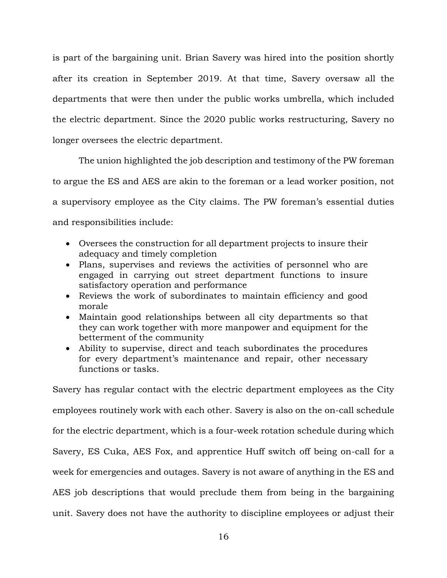is part of the bargaining unit. Brian Savery was hired into the position shortly after its creation in September 2019. At that time, Savery oversaw all the departments that were then under the public works umbrella, which included the electric department. Since the 2020 public works restructuring, Savery no longer oversees the electric department.

The union highlighted the job description and testimony of the PW foreman to argue the ES and AES are akin to the foreman or a lead worker position, not a supervisory employee as the City claims. The PW foreman's essential duties and responsibilities include:

- Oversees the construction for all department projects to insure their adequacy and timely completion
- Plans, supervises and reviews the activities of personnel who are engaged in carrying out street department functions to insure satisfactory operation and performance
- Reviews the work of subordinates to maintain efficiency and good morale
- Maintain good relationships between all city departments so that they can work together with more manpower and equipment for the betterment of the community
- Ability to supervise, direct and teach subordinates the procedures for every department's maintenance and repair, other necessary functions or tasks.

Savery has regular contact with the electric department employees as the City employees routinely work with each other. Savery is also on the on-call schedule for the electric department, which is a four-week rotation schedule during which Savery, ES Cuka, AES Fox, and apprentice Huff switch off being on-call for a week for emergencies and outages. Savery is not aware of anything in the ES and AES job descriptions that would preclude them from being in the bargaining unit. Savery does not have the authority to discipline employees or adjust their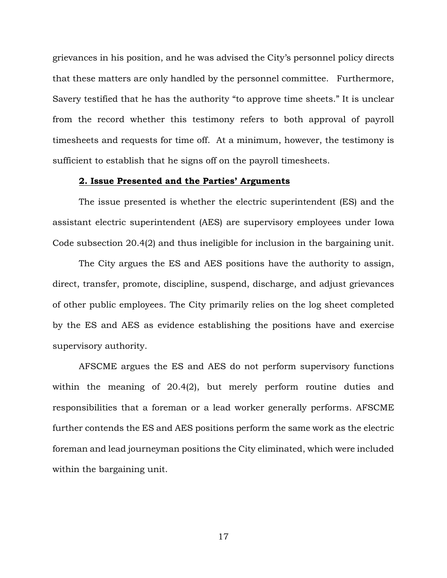grievances in his position, and he was advised the City's personnel policy directs that these matters are only handled by the personnel committee. Furthermore, Savery testified that he has the authority "to approve time sheets." It is unclear from the record whether this testimony refers to both approval of payroll timesheets and requests for time off. At a minimum, however, the testimony is sufficient to establish that he signs off on the payroll timesheets.

#### **2. Issue Presented and the Parties' Arguments**

The issue presented is whether the electric superintendent (ES) and the assistant electric superintendent (AES) are supervisory employees under Iowa Code subsection 20.4(2) and thus ineligible for inclusion in the bargaining unit.

The City argues the ES and AES positions have the authority to assign, direct, transfer, promote, discipline, suspend, discharge, and adjust grievances of other public employees. The City primarily relies on the log sheet completed by the ES and AES as evidence establishing the positions have and exercise supervisory authority.

AFSCME argues the ES and AES do not perform supervisory functions within the meaning of 20.4(2), but merely perform routine duties and responsibilities that a foreman or a lead worker generally performs. AFSCME further contends the ES and AES positions perform the same work as the electric foreman and lead journeyman positions the City eliminated, which were included within the bargaining unit.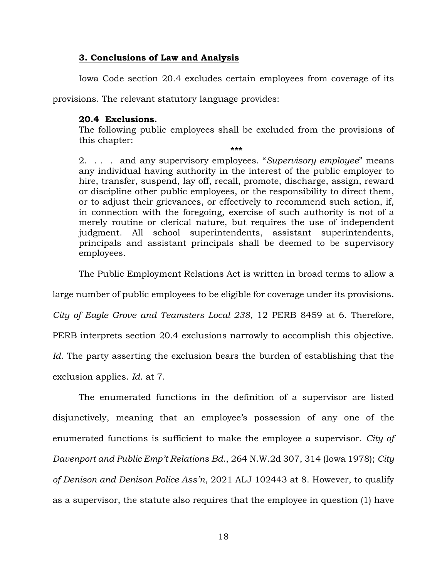## **3. Conclusions of Law and Analysis**

Iowa Code section 20.4 excludes certain employees from coverage of its

provisions. The relevant statutory language provides:

## **20.4 Exclusions.**

The following public employees shall be excluded from the provisions of this chapter:

**\*\*\*** 2. . . . and any supervisory employees. "*Supervisory employee*" means any individual having authority in the interest of the public employer to hire, transfer, suspend, lay off, recall, promote, discharge, assign, reward or discipline other public employees, or the responsibility to direct them, or to adjust their grievances, or effectively to recommend such action, if, in connection with the foregoing, exercise of such authority is not of a merely routine or clerical nature, but requires the use of independent judgment. All school superintendents, assistant superintendents, principals and assistant principals shall be deemed to be supervisory employees.

The Public Employment Relations Act is written in broad terms to allow a

large number of public employees to be eligible for coverage under its provisions.

*City of Eagle Grove and Teamsters Local 238*, 12 PERB 8459 at 6. Therefore,

PERB interprets section 20.4 exclusions narrowly to accomplish this objective.

*Id*. The party asserting the exclusion bears the burden of establishing that the

exclusion applies. *Id*. at 7.

The enumerated functions in the definition of a supervisor are listed disjunctively, meaning that an employee's possession of any one of the enumerated functions is sufficient to make the employee a supervisor. *City of Davenport and Public Emp't Relations Bd*., 264 N.W.2d 307, 314 (Iowa 1978); *City of Denison and Denison Police Ass'n*, 2021 ALJ 102443 at 8. However, to qualify as a supervisor, the statute also requires that the employee in question (1) have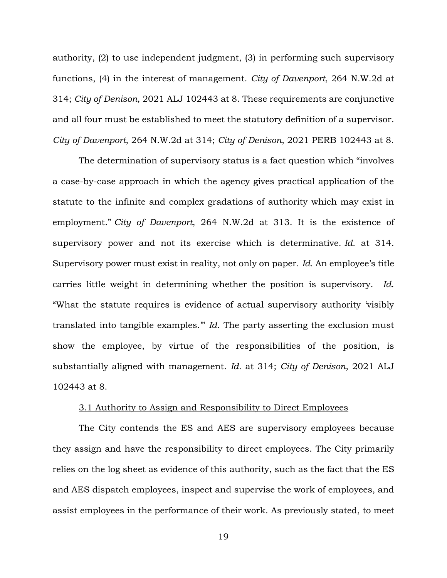authority, (2) to use independent judgment, (3) in performing such supervisory functions, (4) in the interest of management. *City of Davenport*, 264 N.W.2d at 314; *City of Denison*, 2021 ALJ 102443 at 8. These requirements are conjunctive and all four must be established to meet the statutory definition of a supervisor. *City of Davenport*, 264 N.W.2d at 314; *City of Denison*, 2021 PERB 102443 at 8.

The determination of supervisory status is a fact question which "involves a case-by-case approach in which the agency gives practical application of the statute to the infinite and complex gradations of authority which may exist in employment." *City of Davenport*, 264 N.W.2d at 313. It is the existence of supervisory power and not its exercise which is determinative. *Id*. at 314. Supervisory power must exist in reality, not only on paper. *Id*. An employee's title carries little weight in determining whether the position is supervisory. *Id*. "What the statute requires is evidence of actual supervisory authority 'visibly translated into tangible examples.'" *Id*. The party asserting the exclusion must show the employee, by virtue of the responsibilities of the position, is substantially aligned with management. *Id*. at 314; *City of Denison*, 2021 ALJ 102443 at 8.

### 3.1 Authority to Assign and Responsibility to Direct Employees

The City contends the ES and AES are supervisory employees because they assign and have the responsibility to direct employees. The City primarily relies on the log sheet as evidence of this authority, such as the fact that the ES and AES dispatch employees, inspect and supervise the work of employees, and assist employees in the performance of their work. As previously stated, to meet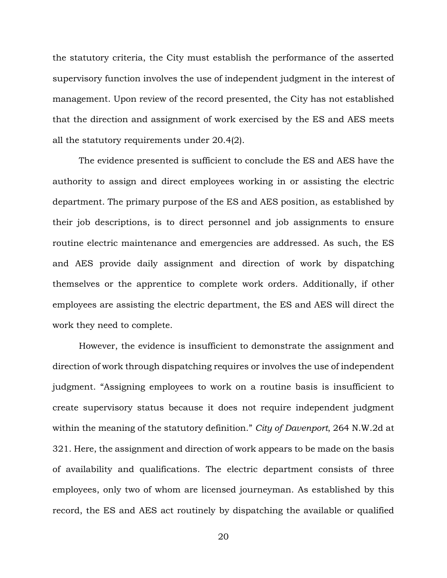the statutory criteria, the City must establish the performance of the asserted supervisory function involves the use of independent judgment in the interest of management. Upon review of the record presented, the City has not established that the direction and assignment of work exercised by the ES and AES meets all the statutory requirements under 20.4(2).

The evidence presented is sufficient to conclude the ES and AES have the authority to assign and direct employees working in or assisting the electric department. The primary purpose of the ES and AES position, as established by their job descriptions, is to direct personnel and job assignments to ensure routine electric maintenance and emergencies are addressed. As such, the ES and AES provide daily assignment and direction of work by dispatching themselves or the apprentice to complete work orders. Additionally, if other employees are assisting the electric department, the ES and AES will direct the work they need to complete.

However, the evidence is insufficient to demonstrate the assignment and direction of work through dispatching requires or involves the use of independent judgment. "Assigning employees to work on a routine basis is insufficient to create supervisory status because it does not require independent judgment within the meaning of the statutory definition." *City of Davenport*, 264 N.W.2d at 321. Here, the assignment and direction of work appears to be made on the basis of availability and qualifications. The electric department consists of three employees, only two of whom are licensed journeyman. As established by this record, the ES and AES act routinely by dispatching the available or qualified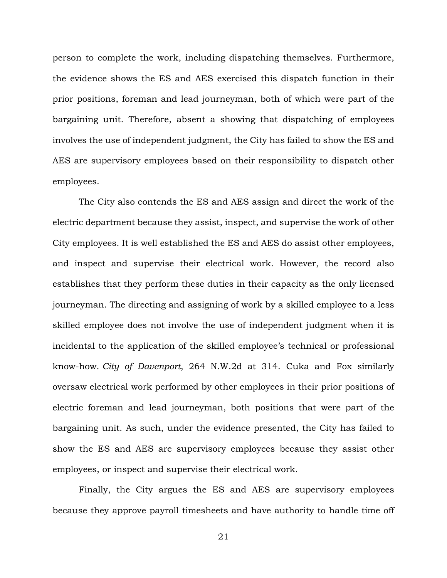person to complete the work, including dispatching themselves. Furthermore, the evidence shows the ES and AES exercised this dispatch function in their prior positions, foreman and lead journeyman, both of which were part of the bargaining unit. Therefore, absent a showing that dispatching of employees involves the use of independent judgment, the City has failed to show the ES and AES are supervisory employees based on their responsibility to dispatch other employees.

The City also contends the ES and AES assign and direct the work of the electric department because they assist, inspect, and supervise the work of other City employees. It is well established the ES and AES do assist other employees, and inspect and supervise their electrical work. However, the record also establishes that they perform these duties in their capacity as the only licensed journeyman. The directing and assigning of work by a skilled employee to a less skilled employee does not involve the use of independent judgment when it is incidental to the application of the skilled employee's technical or professional know-how. *City of Davenport*, 264 N.W.2d at 314. Cuka and Fox similarly oversaw electrical work performed by other employees in their prior positions of electric foreman and lead journeyman, both positions that were part of the bargaining unit. As such, under the evidence presented, the City has failed to show the ES and AES are supervisory employees because they assist other employees, or inspect and supervise their electrical work.

Finally, the City argues the ES and AES are supervisory employees because they approve payroll timesheets and have authority to handle time off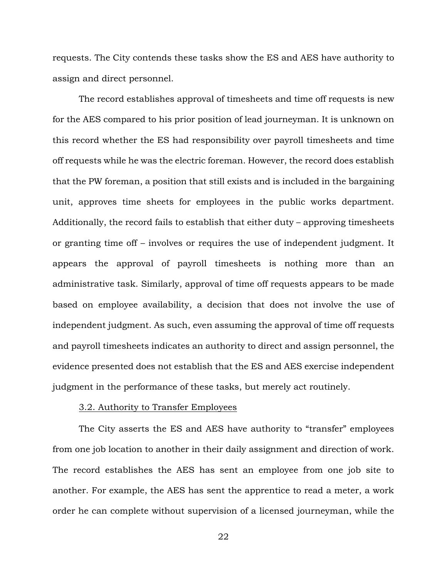requests. The City contends these tasks show the ES and AES have authority to assign and direct personnel.

The record establishes approval of timesheets and time off requests is new for the AES compared to his prior position of lead journeyman. It is unknown on this record whether the ES had responsibility over payroll timesheets and time off requests while he was the electric foreman. However, the record does establish that the PW foreman, a position that still exists and is included in the bargaining unit, approves time sheets for employees in the public works department. Additionally, the record fails to establish that either duty – approving timesheets or granting time off – involves or requires the use of independent judgment. It appears the approval of payroll timesheets is nothing more than an administrative task. Similarly, approval of time off requests appears to be made based on employee availability, a decision that does not involve the use of independent judgment. As such, even assuming the approval of time off requests and payroll timesheets indicates an authority to direct and assign personnel, the evidence presented does not establish that the ES and AES exercise independent judgment in the performance of these tasks, but merely act routinely.

## 3.2. Authority to Transfer Employees

The City asserts the ES and AES have authority to "transfer" employees from one job location to another in their daily assignment and direction of work. The record establishes the AES has sent an employee from one job site to another. For example, the AES has sent the apprentice to read a meter, a work order he can complete without supervision of a licensed journeyman, while the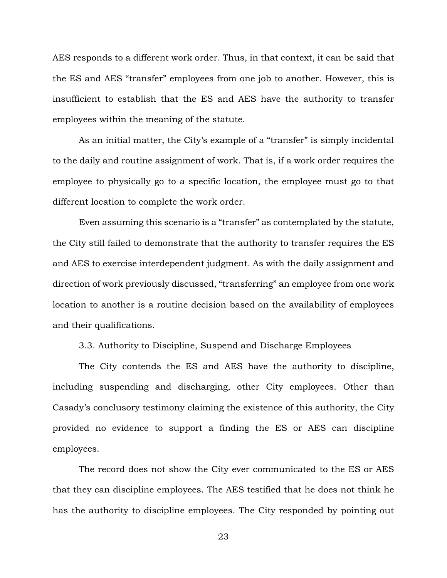AES responds to a different work order. Thus, in that context, it can be said that the ES and AES "transfer" employees from one job to another. However, this is insufficient to establish that the ES and AES have the authority to transfer employees within the meaning of the statute.

As an initial matter, the City's example of a "transfer" is simply incidental to the daily and routine assignment of work. That is, if a work order requires the employee to physically go to a specific location, the employee must go to that different location to complete the work order.

Even assuming this scenario is a "transfer" as contemplated by the statute, the City still failed to demonstrate that the authority to transfer requires the ES and AES to exercise interdependent judgment. As with the daily assignment and direction of work previously discussed, "transferring" an employee from one work location to another is a routine decision based on the availability of employees and their qualifications.

## 3.3. Authority to Discipline, Suspend and Discharge Employees

The City contends the ES and AES have the authority to discipline, including suspending and discharging, other City employees. Other than Casady's conclusory testimony claiming the existence of this authority, the City provided no evidence to support a finding the ES or AES can discipline employees.

The record does not show the City ever communicated to the ES or AES that they can discipline employees. The AES testified that he does not think he has the authority to discipline employees. The City responded by pointing out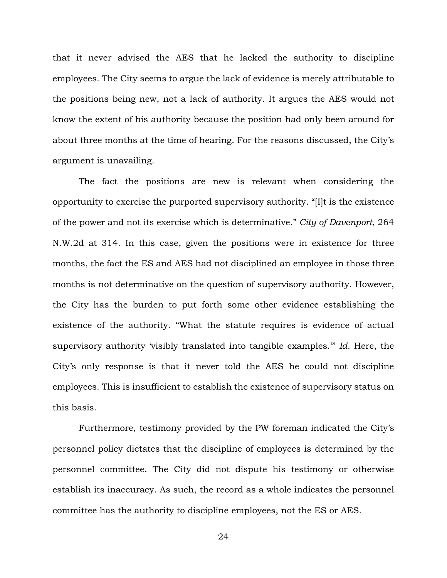that it never advised the AES that he lacked the authority to discipline employees. The City seems to argue the lack of evidence is merely attributable to the positions being new, not a lack of authority. It argues the AES would not know the extent of his authority because the position had only been around for about three months at the time of hearing. For the reasons discussed, the City's argument is unavailing.

The fact the positions are new is relevant when considering the opportunity to exercise the purported supervisory authority. "[I]t is the existence of the power and not its exercise which is determinative." *City of Davenport*, 264 N.W.2d at 314. In this case, given the positions were in existence for three months, the fact the ES and AES had not disciplined an employee in those three months is not determinative on the question of supervisory authority. However, the City has the burden to put forth some other evidence establishing the existence of the authority. "What the statute requires is evidence of actual supervisory authority 'visibly translated into tangible examples.'" *Id*. Here, the City's only response is that it never told the AES he could not discipline employees. This is insufficient to establish the existence of supervisory status on this basis.

Furthermore, testimony provided by the PW foreman indicated the City's personnel policy dictates that the discipline of employees is determined by the personnel committee. The City did not dispute his testimony or otherwise establish its inaccuracy. As such, the record as a whole indicates the personnel committee has the authority to discipline employees, not the ES or AES.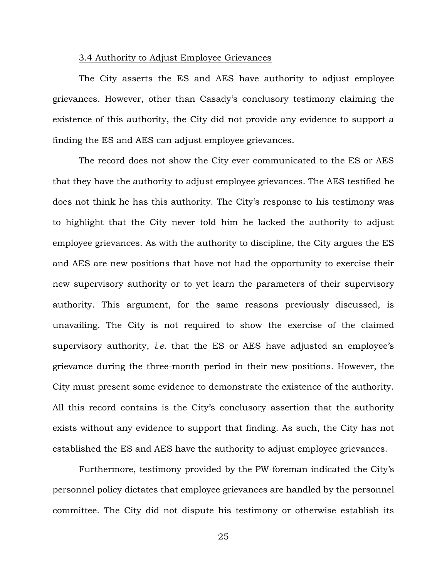#### 3.4 Authority to Adjust Employee Grievances

The City asserts the ES and AES have authority to adjust employee grievances. However, other than Casady's conclusory testimony claiming the existence of this authority, the City did not provide any evidence to support a finding the ES and AES can adjust employee grievances.

The record does not show the City ever communicated to the ES or AES that they have the authority to adjust employee grievances. The AES testified he does not think he has this authority. The City's response to his testimony was to highlight that the City never told him he lacked the authority to adjust employee grievances. As with the authority to discipline, the City argues the ES and AES are new positions that have not had the opportunity to exercise their new supervisory authority or to yet learn the parameters of their supervisory authority. This argument, for the same reasons previously discussed, is unavailing. The City is not required to show the exercise of the claimed supervisory authority, *i.e.* that the ES or AES have adjusted an employee's grievance during the three-month period in their new positions. However, the City must present some evidence to demonstrate the existence of the authority. All this record contains is the City's conclusory assertion that the authority exists without any evidence to support that finding. As such, the City has not established the ES and AES have the authority to adjust employee grievances.

Furthermore, testimony provided by the PW foreman indicated the City's personnel policy dictates that employee grievances are handled by the personnel committee. The City did not dispute his testimony or otherwise establish its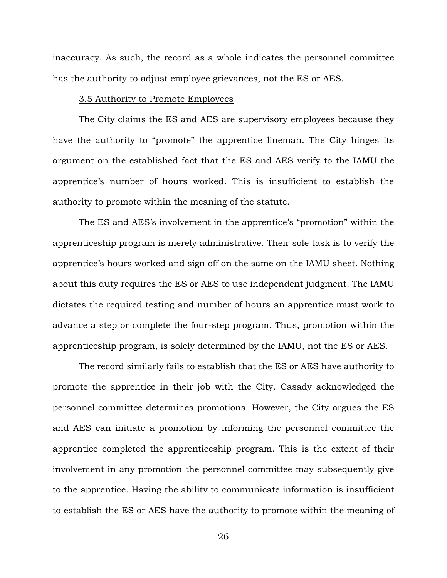inaccuracy. As such, the record as a whole indicates the personnel committee has the authority to adjust employee grievances, not the ES or AES.

### 3.5 Authority to Promote Employees

The City claims the ES and AES are supervisory employees because they have the authority to "promote" the apprentice lineman. The City hinges its argument on the established fact that the ES and AES verify to the IAMU the apprentice's number of hours worked. This is insufficient to establish the authority to promote within the meaning of the statute.

The ES and AES's involvement in the apprentice's "promotion" within the apprenticeship program is merely administrative. Their sole task is to verify the apprentice's hours worked and sign off on the same on the IAMU sheet. Nothing about this duty requires the ES or AES to use independent judgment. The IAMU dictates the required testing and number of hours an apprentice must work to advance a step or complete the four-step program. Thus, promotion within the apprenticeship program, is solely determined by the IAMU, not the ES or AES.

The record similarly fails to establish that the ES or AES have authority to promote the apprentice in their job with the City. Casady acknowledged the personnel committee determines promotions. However, the City argues the ES and AES can initiate a promotion by informing the personnel committee the apprentice completed the apprenticeship program. This is the extent of their involvement in any promotion the personnel committee may subsequently give to the apprentice. Having the ability to communicate information is insufficient to establish the ES or AES have the authority to promote within the meaning of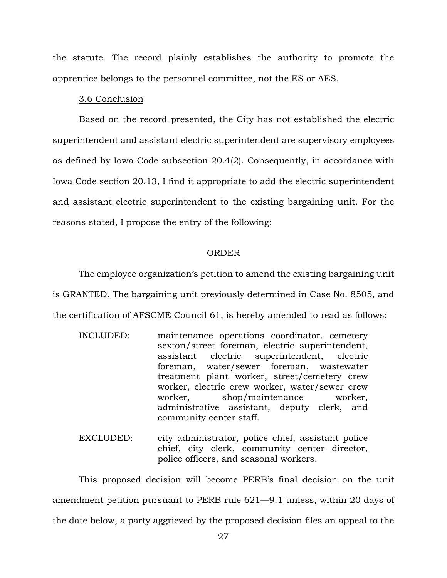the statute. The record plainly establishes the authority to promote the apprentice belongs to the personnel committee, not the ES or AES.

### 3.6 Conclusion

Based on the record presented, the City has not established the electric superintendent and assistant electric superintendent are supervisory employees as defined by Iowa Code subsection 20.4(2). Consequently, in accordance with Iowa Code section 20.13, I find it appropriate to add the electric superintendent and assistant electric superintendent to the existing bargaining unit. For the reasons stated, I propose the entry of the following:

#### ORDER

The employee organization's petition to amend the existing bargaining unit is GRANTED. The bargaining unit previously determined in Case No. 8505, and the certification of AFSCME Council 61, is hereby amended to read as follows:

- INCLUDED: maintenance operations coordinator, cemetery sexton/street foreman, electric superintendent, assistant electric superintendent, electric foreman, water/sewer foreman, wastewater treatment plant worker, street/cemetery crew worker, electric crew worker, water/sewer crew worker, shop/maintenance worker, administrative assistant, deputy clerk, and community center staff.
- EXCLUDED: city administrator, police chief, assistant police chief, city clerk, community center director, police officers, and seasonal workers.

This proposed decision will become PERB's final decision on the unit amendment petition pursuant to PERB rule 621—9.1 unless, within 20 days of the date below, a party aggrieved by the proposed decision files an appeal to the